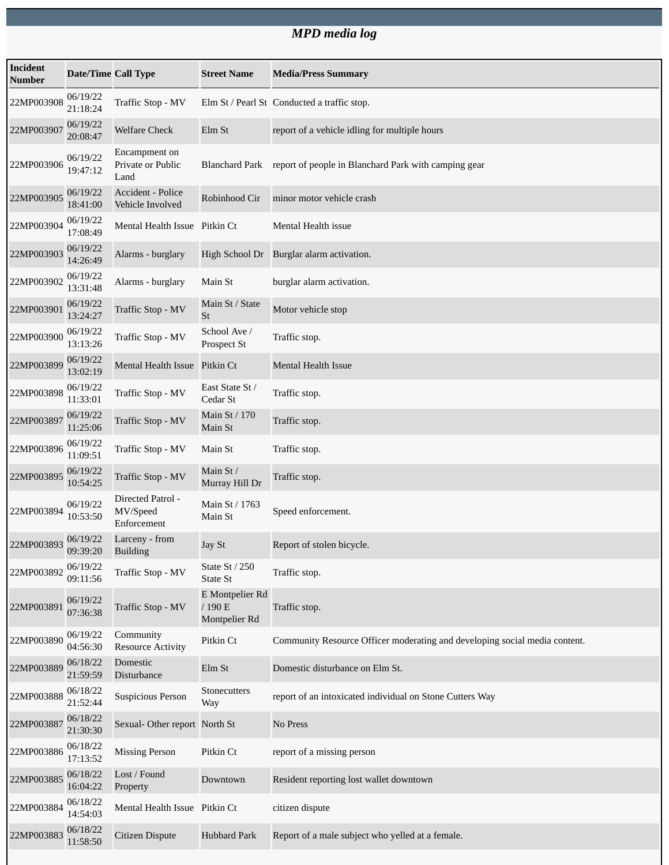## *MPD media log*

| <b>Incident</b><br><b>Number</b> | <b>Date/Time Call Type</b> |                                              | <b>Street Name</b>                         | <b>Media/Press Summary</b>                                                 |
|----------------------------------|----------------------------|----------------------------------------------|--------------------------------------------|----------------------------------------------------------------------------|
| 22MP003908                       | 06/19/22<br>21:18:24       | Traffic Stop - MV                            |                                            | Elm St / Pearl St Conducted a traffic stop.                                |
| 22MP003907                       | 06/19/22<br>20:08:47       | <b>Welfare Check</b>                         | Elm St                                     | report of a vehicle idling for multiple hours                              |
| 22MP003906                       | 06/19/22<br>19:47:12       | Encampment on<br>Private or Public<br>Land   | Blanchard Park                             | report of people in Blanchard Park with camping gear                       |
| 22MP003905                       | 06/19/22<br>18:41:00       | <b>Accident - Police</b><br>Vehicle Involved | Robinhood Cir                              | minor motor vehicle crash                                                  |
| 22MP003904                       | 06/19/22<br>17:08:49       | Mental Health Issue Pitkin Ct                |                                            | Mental Health issue                                                        |
| 22MP003903                       | 06/19/22<br>14:26:49       | Alarms - burglary                            | High School Dr                             | Burglar alarm activation.                                                  |
| 22MP003902                       | 06/19/22<br>13:31:48       | Alarms - burglary                            | Main St                                    | burglar alarm activation.                                                  |
| 22MP003901                       | 06/19/22<br>13:24:27       | Traffic Stop - MV                            | Main St / State<br>St                      | Motor vehicle stop                                                         |
| 22MP003900                       | 06/19/22<br>13:13:26       | Traffic Stop - MV                            | School Ave /<br>Prospect St                | Traffic stop.                                                              |
| 22MP003899                       | 06/19/22<br>13:02:19       | Mental Health Issue Pitkin Ct                |                                            | <b>Mental Health Issue</b>                                                 |
| 22MP003898                       | 06/19/22<br>11:33:01       | Traffic Stop - MV                            | East State St /<br>Cedar St                | Traffic stop.                                                              |
| 22MP003897                       | 06/19/22<br>11:25:06       | Traffic Stop - MV                            | Main St / 170<br>Main St                   | Traffic stop.                                                              |
| 22MP003896                       | 06/19/22<br>11:09:51       | Traffic Stop - MV                            | Main St                                    | Traffic stop.                                                              |
| 22MP003895                       | 06/19/22<br>10:54:25       | Traffic Stop - MV                            | Main St /<br>Murray Hill Dr                | Traffic stop.                                                              |
| 22MP003894                       | 06/19/22<br>10:53:50       | Directed Patrol -<br>MV/Speed<br>Enforcement | Main St / 1763<br>Main St                  | Speed enforcement.                                                         |
| 22MP003893                       | 06/19/22<br>09:39:20       | Larceny - from<br><b>Building</b>            | Jay St                                     | Report of stolen bicycle.                                                  |
| 22MP003892                       | 06/19/22<br>09:11:56       | Traffic Stop - MV                            | <b>State St / 250</b><br>State St          | Traffic stop.                                                              |
| 22MP003891                       | 06/19/22<br>07:36:38       | Traffic Stop - MV                            | E Montpelier Rd<br>/190 E<br>Montpelier Rd | Traffic stop.                                                              |
| 22MP003890                       | 06/19/22<br>04:56:30       | Community<br><b>Resource Activity</b>        | Pitkin Ct                                  | Community Resource Officer moderating and developing social media content. |
| 22MP003889                       | 06/18/22<br>21:59:59       | Domestic<br>Disturbance                      | Elm St                                     | Domestic disturbance on Elm St.                                            |
| 22MP003888                       | 06/18/22<br>21:52:44       | <b>Suspicious Person</b>                     | Stonecutters<br>Way                        | report of an intoxicated individual on Stone Cutters Way                   |
| 22MP003887                       | 06/18/22<br>21:30:30       | Sexual-Other report North St                 |                                            | No Press                                                                   |
| 22MP003886                       | 06/18/22<br>17:13:52       | <b>Missing Person</b>                        | Pitkin Ct                                  | report of a missing person                                                 |
| 22MP003885                       | 06/18/22<br>16:04:22       | Lost / Found<br>Property                     | Downtown                                   | Resident reporting lost wallet downtown                                    |
| 22MP003884                       | 06/18/22<br>14:54:03       | Mental Health Issue Pitkin Ct                |                                            | citizen dispute                                                            |
| 22MP003883                       | 06/18/22<br>11:58:50       | Citizen Dispute                              | <b>Hubbard Park</b>                        | Report of a male subject who yelled at a female.                           |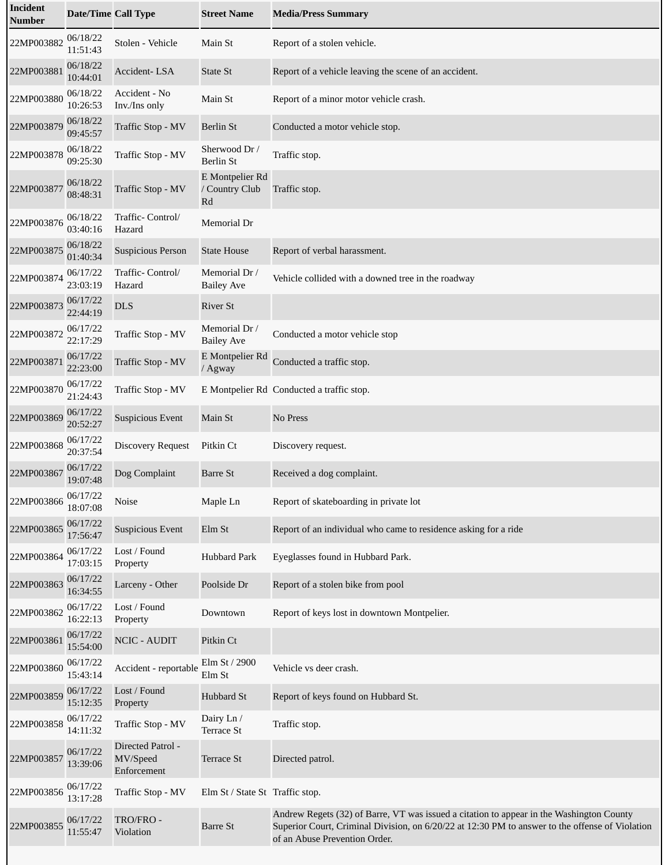| <b>Incident</b><br><b>Number</b> | <b>Date/Time Call Type</b> |                                              | <b>Street Name</b>                      | <b>Media/Press Summary</b>                                                                                                                                                                                                   |
|----------------------------------|----------------------------|----------------------------------------------|-----------------------------------------|------------------------------------------------------------------------------------------------------------------------------------------------------------------------------------------------------------------------------|
| 22MP003882                       | 06/18/22<br>11:51:43       | Stolen - Vehicle                             | Main St                                 | Report of a stolen vehicle.                                                                                                                                                                                                  |
| 22MP003881                       | 06/18/22<br>10:44:01       | Accident-LSA                                 | <b>State St</b>                         | Report of a vehicle leaving the scene of an accident.                                                                                                                                                                        |
| 22MP003880                       | 06/18/22<br>10:26:53       | Accident - No<br>Inv./Ins only               | Main St                                 | Report of a minor motor vehicle crash.                                                                                                                                                                                       |
| 22MP003879                       | 06/18/22<br>09:45:57       | Traffic Stop - MV                            | <b>Berlin St</b>                        | Conducted a motor vehicle stop.                                                                                                                                                                                              |
| 22MP003878                       | 06/18/22<br>09:25:30       | Traffic Stop - MV                            | Sherwood Dr /<br><b>Berlin St</b>       | Traffic stop.                                                                                                                                                                                                                |
| 22MP003877                       | 06/18/22<br>08:48:31       | Traffic Stop - MV                            | E Montpelier Rd<br>/ Country Club<br>Rd | Traffic stop.                                                                                                                                                                                                                |
| 22MP003876                       | 06/18/22<br>03:40:16       | Traffic-Control/<br>Hazard                   | Memorial Dr                             |                                                                                                                                                                                                                              |
| 22MP003875                       | 06/18/22<br>01:40:34       | <b>Suspicious Person</b>                     | <b>State House</b>                      | Report of verbal harassment.                                                                                                                                                                                                 |
| 22MP003874                       | 06/17/22<br>23:03:19       | Traffic- Control/<br>Hazard                  | Memorial Dr /<br><b>Bailey Ave</b>      | Vehicle collided with a downed tree in the roadway                                                                                                                                                                           |
| 22MP003873                       | 06/17/22<br>22:44:19       | <b>DLS</b>                                   | <b>River St</b>                         |                                                                                                                                                                                                                              |
| 22MP003872                       | 06/17/22<br>22:17:29       | Traffic Stop - MV                            | Memorial Dr /<br><b>Bailey Ave</b>      | Conducted a motor vehicle stop                                                                                                                                                                                               |
| 22MP003871                       | 06/17/22<br>22:23:00       | Traffic Stop - MV                            | E Montpelier Rd<br>/ Agway              | Conducted a traffic stop.                                                                                                                                                                                                    |
| 22MP003870                       | 06/17/22<br>21:24:43       | Traffic Stop - MV                            |                                         | E Montpelier Rd Conducted a traffic stop.                                                                                                                                                                                    |
| 22MP003869                       | 06/17/22<br>20:52:27       | <b>Suspicious Event</b>                      | Main St                                 | No Press                                                                                                                                                                                                                     |
| 22MP003868                       | 06/17/22<br>20:37:54       | <b>Discovery Request</b>                     | Pitkin Ct                               | Discovery request.                                                                                                                                                                                                           |
| 22MP003867                       | 06/17/22<br>19:07:48       | Dog Complaint                                | <b>Barre St</b>                         | Received a dog complaint.                                                                                                                                                                                                    |
| 22MP003866                       | 06/17/22<br>18:07:08       | <b>Noise</b>                                 | Maple Ln                                | Report of skateboarding in private lot                                                                                                                                                                                       |
| 22MP003865                       | 06/17/22<br>17:56:47       | <b>Suspicious Event</b>                      | Elm St                                  | Report of an individual who came to residence asking for a ride                                                                                                                                                              |
| 22MP003864                       | 06/17/22<br>17:03:15       | Lost / Found<br>Property                     | <b>Hubbard Park</b>                     | Eyeglasses found in Hubbard Park.                                                                                                                                                                                            |
| 22MP003863                       | 06/17/22<br>16:34:55       | Larceny - Other                              | Poolside Dr                             | Report of a stolen bike from pool                                                                                                                                                                                            |
| 22MP003862                       | 06/17/22<br>16:22:13       | Lost / Found<br>Property                     | Downtown                                | Report of keys lost in downtown Montpelier.                                                                                                                                                                                  |
| 22MP003861                       | 06/17/22<br>15:54:00       | <b>NCIC - AUDIT</b>                          | Pitkin Ct                               |                                                                                                                                                                                                                              |
| 22MP003860                       | 06/17/22<br>15:43:14       | Accident - reportable                        | Elm St / 2900<br>Elm St                 | Vehicle vs deer crash.                                                                                                                                                                                                       |
| 22MP003859                       | 06/17/22<br>15:12:35       | Lost / Found<br>Property                     | Hubbard St                              | Report of keys found on Hubbard St.                                                                                                                                                                                          |
| 22MP003858                       | 06/17/22<br>14:11:32       | Traffic Stop - MV                            | Dairy Ln /<br>Terrace St                | Traffic stop.                                                                                                                                                                                                                |
| 22MP003857                       | 06/17/22<br>13:39:06       | Directed Patrol -<br>MV/Speed<br>Enforcement | <b>Terrace St</b>                       | Directed patrol.                                                                                                                                                                                                             |
| 22MP003856                       | 06/17/22<br>13:17:28       | Traffic Stop - MV                            | Elm St / State St Traffic stop.         |                                                                                                                                                                                                                              |
| 22MP003855                       | 06/17/22<br>11:55:47       | TRO/FRO-<br>Violation                        | <b>Barre St</b>                         | Andrew Regets (32) of Barre, VT was issued a citation to appear in the Washington County<br>Superior Court, Criminal Division, on 6/20/22 at 12:30 PM to answer to the offense of Violation<br>of an Abuse Prevention Order. |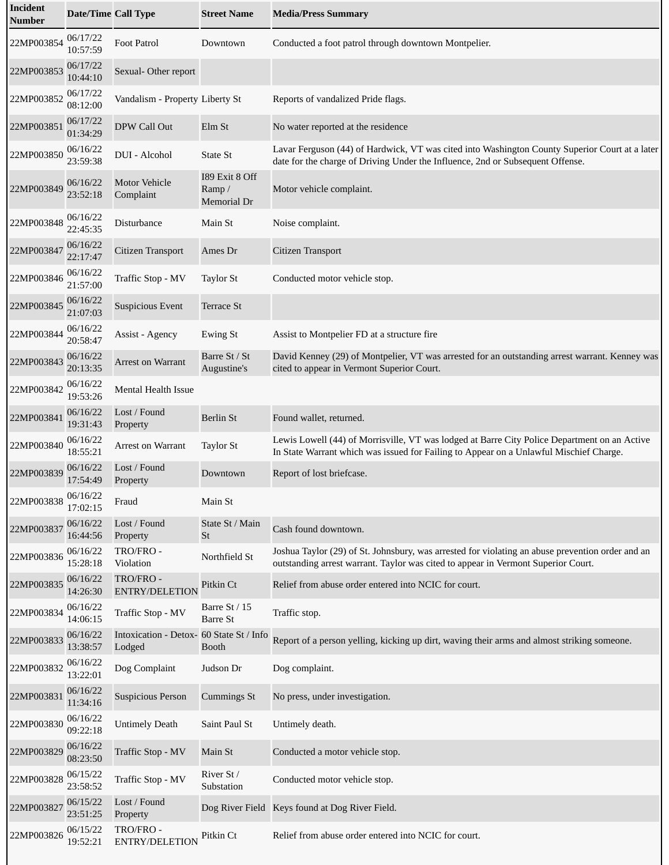| <b>Incident</b><br>Number | <b>Date/Time Call Type</b> |                                                    | <b>Street Name</b>                     | <b>Media/Press Summary</b>                                                                                                                                                             |
|---------------------------|----------------------------|----------------------------------------------------|----------------------------------------|----------------------------------------------------------------------------------------------------------------------------------------------------------------------------------------|
| 22MP003854                | 06/17/22<br>10:57:59       | <b>Foot Patrol</b>                                 | Downtown                               | Conducted a foot patrol through downtown Montpelier.                                                                                                                                   |
| 22MP003853                | 06/17/22<br>10:44:10       | Sexual-Other report                                |                                        |                                                                                                                                                                                        |
| 22MP003852                | 06/17/22<br>08:12:00       | Vandalism - Property Liberty St                    |                                        | Reports of vandalized Pride flags.                                                                                                                                                     |
| 22MP003851                | 06/17/22<br>01:34:29       | DPW Call Out                                       | Elm St                                 | No water reported at the residence                                                                                                                                                     |
| 22MP003850                | 06/16/22<br>23:59:38       | DUI - Alcohol                                      | State St                               | Lavar Ferguson (44) of Hardwick, VT was cited into Washington County Superior Court at a later<br>date for the charge of Driving Under the Influence, 2nd or Subsequent Offense.       |
| 22MP003849                | 06/16/22<br>23:52:18       | <b>Motor Vehicle</b><br>Complaint                  | 189 Exit 8 Off<br>Ramp/<br>Memorial Dr | Motor vehicle complaint.                                                                                                                                                               |
| 22MP003848                | 06/16/22<br>22:45:35       | Disturbance                                        | Main St                                | Noise complaint.                                                                                                                                                                       |
| 22MP003847                | 06/16/22<br>22:17:47       | Citizen Transport                                  | Ames Dr                                | Citizen Transport                                                                                                                                                                      |
| 22MP003846                | 06/16/22<br>21:57:00       | Traffic Stop - MV                                  | <b>Taylor St</b>                       | Conducted motor vehicle stop.                                                                                                                                                          |
| 22MP003845                | 06/16/22<br>21:07:03       | <b>Suspicious Event</b>                            | Terrace St                             |                                                                                                                                                                                        |
| 22MP003844                | 06/16/22<br>20:58:47       | Assist - Agency                                    | <b>Ewing St</b>                        | Assist to Montpelier FD at a structure fire                                                                                                                                            |
| 22MP003843                | 06/16/22<br>20:13:35       | Arrest on Warrant                                  | Barre St / St<br>Augustine's           | David Kenney (29) of Montpelier, VT was arrested for an outstanding arrest warrant. Kenney was<br>cited to appear in Vermont Superior Court.                                           |
| 22MP003842                | 06/16/22<br>19:53:26       | Mental Health Issue                                |                                        |                                                                                                                                                                                        |
| 22MP003841                | 06/16/22<br>19:31:43       | Lost / Found<br>Property                           | <b>Berlin St</b>                       | Found wallet, returned.                                                                                                                                                                |
| 22MP003840                | 06/16/22<br>18:55:21       | Arrest on Warrant                                  | <b>Taylor St</b>                       | Lewis Lowell (44) of Morrisville, VT was lodged at Barre City Police Department on an Active<br>In State Warrant which was issued for Failing to Appear on a Unlawful Mischief Charge. |
| 22MP003839                | 06/16/22<br>17:54:49       | Lost / Found<br>Property                           | Downtown                               | Report of lost briefcase.                                                                                                                                                              |
| 22MP003838                | 06/16/22<br>17:02:15       | Fraud                                              | Main St                                |                                                                                                                                                                                        |
| 22MP003837                | 06/16/22<br>16:44:56       | Lost / Found<br>Property                           | State St / Main<br>St                  | Cash found downtown.                                                                                                                                                                   |
| 22MP003836                | 06/16/22<br>15:28:18       | TRO/FRO -<br>Violation                             | Northfield St                          | Joshua Taylor (29) of St. Johnsbury, was arrested for violating an abuse prevention order and an<br>outstanding arrest warrant. Taylor was cited to appear in Vermont Superior Court.  |
| 22MP003835                | 06/16/22<br>14:26:30       | TRO/FRO-<br><b>ENTRY/DELETION</b>                  | Pitkin Ct                              | Relief from abuse order entered into NCIC for court.                                                                                                                                   |
| 22MP003834                | 06/16/22<br>14:06:15       | Traffic Stop - MV                                  | Barre St / 15<br><b>Barre St</b>       | Traffic stop.                                                                                                                                                                          |
| 22MP003833                | 06/16/22<br>13:38:57       | Intoxication - Detox- 60 State St / Info<br>Lodged | <b>Booth</b>                           | Report of a person yelling, kicking up dirt, waving their arms and almost striking someone.                                                                                            |
| 22MP003832                | 06/16/22<br>13:22:01       | Dog Complaint                                      | Judson Dr                              | Dog complaint.                                                                                                                                                                         |
| 22MP003831                | 06/16/22<br>11:34:16       | <b>Suspicious Person</b>                           | Cummings St                            | No press, under investigation.                                                                                                                                                         |
| 22MP003830                | 06/16/22<br>09:22:18       | <b>Untimely Death</b>                              | Saint Paul St                          | Untimely death.                                                                                                                                                                        |
| 22MP003829                | 06/16/22<br>08:23:50       | Traffic Stop - MV                                  | Main St                                | Conducted a motor vehicle stop.                                                                                                                                                        |
| 22MP003828                | 06/15/22<br>23:58:52       | Traffic Stop - MV                                  | River St /<br>Substation               | Conducted motor vehicle stop.                                                                                                                                                          |
| 22MP003827                | 06/15/22<br>23:51:25       | Lost / Found<br>Property                           |                                        | Dog River Field Keys found at Dog River Field.                                                                                                                                         |
| 22MP003826                | 06/15/22<br>19:52:21       | TRO/FRO-<br>ENTRY/DELETION                         | Pitkin Ct                              | Relief from abuse order entered into NCIC for court.                                                                                                                                   |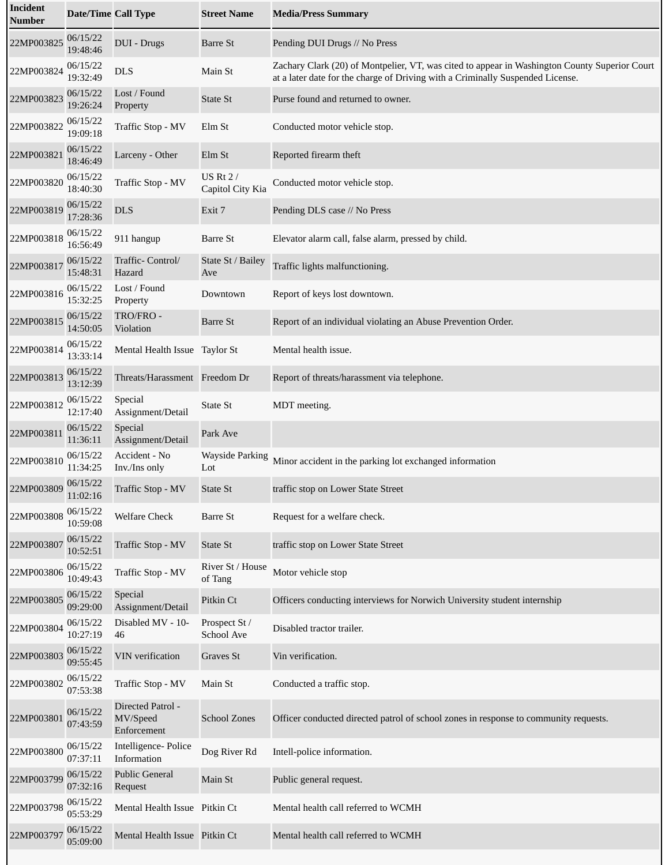| <b>Incident</b><br><b>Number</b> | <b>Date/Time Call Type</b> |                                              | <b>Street Name</b>                  | <b>Media/Press Summary</b>                                                                                                                                                      |
|----------------------------------|----------------------------|----------------------------------------------|-------------------------------------|---------------------------------------------------------------------------------------------------------------------------------------------------------------------------------|
| 22MP003825                       | 06/15/22<br>19:48:46       | <b>DUI</b> - Drugs                           | <b>Barre St</b>                     | Pending DUI Drugs // No Press                                                                                                                                                   |
| 22MP003824                       | 06/15/22<br>19:32:49       | <b>DLS</b>                                   | Main St                             | Zachary Clark (20) of Montpelier, VT, was cited to appear in Washington County Superior Court<br>at a later date for the charge of Driving with a Criminally Suspended License. |
| 22MP003823                       | 06/15/22<br>19:26:24       | Lost / Found<br>Property                     | <b>State St</b>                     | Purse found and returned to owner.                                                                                                                                              |
| 22MP003822                       | 06/15/22<br>19:09:18       | Traffic Stop - MV                            | Elm St                              | Conducted motor vehicle stop.                                                                                                                                                   |
| 22MP003821                       | 06/15/22<br>18:46:49       | Larceny - Other                              | Elm St                              | Reported firearm theft                                                                                                                                                          |
| 22MP003820                       | 06/15/22<br>18:40:30       | Traffic Stop - MV                            | <b>US Rt 2/</b><br>Capitol City Kia | Conducted motor vehicle stop.                                                                                                                                                   |
| 22MP003819                       | 06/15/22<br>17:28:36       | <b>DLS</b>                                   | Exit 7                              | Pending DLS case // No Press                                                                                                                                                    |
| 22MP003818                       | 06/15/22<br>16:56:49       | 911 hangup                                   | Barre St                            | Elevator alarm call, false alarm, pressed by child.                                                                                                                             |
| 22MP003817                       | 06/15/22<br>15:48:31       | Traffic- Control/<br>Hazard                  | State St / Bailey<br>Ave            | Traffic lights malfunctioning.                                                                                                                                                  |
| 22MP003816                       | 06/15/22<br>15:32:25       | Lost / Found<br>Property                     | Downtown                            | Report of keys lost downtown.                                                                                                                                                   |
| 22MP003815                       | 06/15/22<br>14:50:05       | TRO/FRO-<br>Violation                        | <b>Barre St</b>                     | Report of an individual violating an Abuse Prevention Order.                                                                                                                    |
| 22MP003814                       | 06/15/22<br>13:33:14       | Mental Health Issue Taylor St                |                                     | Mental health issue.                                                                                                                                                            |
| 22MP003813                       | 06/15/22<br>13:12:39       | Threats/Harassment Freedom Dr                |                                     | Report of threats/harassment via telephone.                                                                                                                                     |
| 22MP003812                       | 06/15/22<br>12:17:40       | Special<br>Assignment/Detail                 | State St                            | MDT meeting.                                                                                                                                                                    |
| 22MP003811                       | 06/15/22<br>11:36:11       | Special<br>Assignment/Detail                 | Park Ave                            |                                                                                                                                                                                 |
| 22MP003810                       | 06/15/22<br>11:34:25       | Accident - No<br>Inv./Ins only               | <b>Wayside Parking</b><br>Lot       | Minor accident in the parking lot exchanged information                                                                                                                         |
| 22MP003809                       | 06/15/22<br>11:02:16       | Traffic Stop - MV                            | <b>State St</b>                     | traffic stop on Lower State Street                                                                                                                                              |
| 22MP003808                       | 06/15/22<br>10:59:08       | <b>Welfare Check</b>                         | <b>Barre St</b>                     | Request for a welfare check.                                                                                                                                                    |
| 22MP003807                       | 06/15/22<br>10:52:51       | Traffic Stop - MV                            | State St                            | traffic stop on Lower State Street                                                                                                                                              |
| 22MP003806                       | 06/15/22<br>10:49:43       | Traffic Stop - MV                            | River St / House<br>of Tang         | Motor vehicle stop                                                                                                                                                              |
| 22MP003805                       | 06/15/22<br>09:29:00       | Special<br>Assignment/Detail                 | Pitkin Ct                           | Officers conducting interviews for Norwich University student internship                                                                                                        |
| 22MP003804                       | 06/15/22<br>10:27:19       | Disabled MV - 10-<br>46                      | Prospect St /<br>School Ave         | Disabled tractor trailer.                                                                                                                                                       |
| 22MP003803                       | 06/15/22<br>09:55:45       | <b>VIN</b> verification                      | Graves St                           | Vin verification.                                                                                                                                                               |
| 22MP003802                       | 06/15/22<br>07:53:38       | Traffic Stop - MV                            | Main St                             | Conducted a traffic stop.                                                                                                                                                       |
| 22MP003801                       | 06/15/22<br>07:43:59       | Directed Patrol -<br>MV/Speed<br>Enforcement | <b>School Zones</b>                 | Officer conducted directed patrol of school zones in response to community requests.                                                                                            |
| 22MP003800                       | 06/15/22<br>07:37:11       | Intelligence- Police<br>Information          | Dog River Rd                        | Intell-police information.                                                                                                                                                      |
| 22MP003799                       | 06/15/22<br>07:32:16       | <b>Public General</b><br>Request             | Main St                             | Public general request.                                                                                                                                                         |
| 22MP003798                       | 06/15/22<br>05:53:29       | Mental Health Issue Pitkin Ct                |                                     | Mental health call referred to WCMH                                                                                                                                             |
| 22MP003797                       | 06/15/22<br>05:09:00       | Mental Health Issue Pitkin Ct                |                                     | Mental health call referred to WCMH                                                                                                                                             |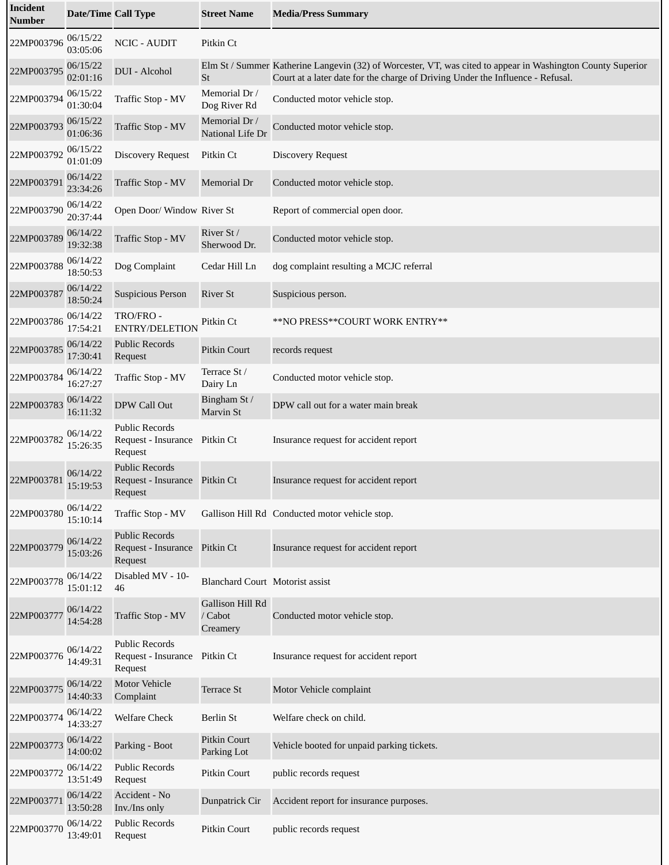| <b>Incident</b><br><b>Number</b> | <b>Date/Time Call Type</b> |                                                                   | <b>Street Name</b>                      | <b>Media/Press Summary</b>                                                                                                                                                                    |
|----------------------------------|----------------------------|-------------------------------------------------------------------|-----------------------------------------|-----------------------------------------------------------------------------------------------------------------------------------------------------------------------------------------------|
| 22MP003796                       | 06/15/22<br>03:05:06       | <b>NCIC - AUDIT</b>                                               | Pitkin Ct                               |                                                                                                                                                                                               |
| 22MP003795                       | 06/15/22<br>02:01:16       | DUI - Alcohol                                                     | St                                      | Elm St / Summer Katherine Langevin (32) of Worcester, VT, was cited to appear in Washington County Superior<br>Court at a later date for the charge of Driving Under the Influence - Refusal. |
| 22MP003794                       | 06/15/22<br>01:30:04       | Traffic Stop - MV                                                 | Memorial Dr /<br>Dog River Rd           | Conducted motor vehicle stop.                                                                                                                                                                 |
| 22MP003793                       | 06/15/22<br>01:06:36       | Traffic Stop - MV                                                 | Memorial Dr /<br>National Life Dr       | Conducted motor vehicle stop.                                                                                                                                                                 |
| 22MP003792                       | 06/15/22<br>01:01:09       | <b>Discovery Request</b>                                          | Pitkin Ct                               | <b>Discovery Request</b>                                                                                                                                                                      |
| 22MP003791                       | 06/14/22<br>23:34:26       | Traffic Stop - MV                                                 | Memorial Dr                             | Conducted motor vehicle stop.                                                                                                                                                                 |
| 22MP003790                       | 06/14/22<br>20:37:44       | Open Door/ Window River St                                        |                                         | Report of commercial open door.                                                                                                                                                               |
| 22MP003789                       | 06/14/22<br>19:32:38       | Traffic Stop - MV                                                 | River St /<br>Sherwood Dr.              | Conducted motor vehicle stop.                                                                                                                                                                 |
| 22MP003788                       | 06/14/22<br>18:50:53       | Dog Complaint                                                     | Cedar Hill Ln                           | dog complaint resulting a MCJC referral                                                                                                                                                       |
| 22MP003787                       | 06/14/22<br>18:50:24       | <b>Suspicious Person</b>                                          | <b>River St</b>                         | Suspicious person.                                                                                                                                                                            |
| 22MP003786                       | 06/14/22<br>17:54:21       | TRO/FRO -<br><b>ENTRY/DELETION</b>                                | Pitkin Ct                               | **NO PRESS**COURT WORK ENTRY**                                                                                                                                                                |
| 22MP003785                       | 06/14/22<br>17:30:41       | <b>Public Records</b><br>Request                                  | <b>Pitkin Court</b>                     | records request                                                                                                                                                                               |
| 22MP003784                       | 06/14/22<br>16:27:27       | Traffic Stop - MV                                                 | Terrace St /<br>Dairy Ln                | Conducted motor vehicle stop.                                                                                                                                                                 |
| 22MP003783                       | 06/14/22<br>16:11:32       | DPW Call Out                                                      | Bingham St /<br>Marvin St               | DPW call out for a water main break                                                                                                                                                           |
| 22MP003782                       | 06/14/22<br>15:26:35       | <b>Public Records</b><br>Request - Insurance Pitkin Ct<br>Request |                                         | Insurance request for accident report                                                                                                                                                         |
| 22MP003781                       | 06/14/22<br>15:19:53       | <b>Public Records</b><br>Request - Insurance Pitkin Ct<br>Request |                                         | Insurance request for accident report                                                                                                                                                         |
| 22MP003780                       | 06/14/22<br>15:10:14       | Traffic Stop - MV                                                 |                                         | Gallison Hill Rd Conducted motor vehicle stop.                                                                                                                                                |
| 22MP003779                       | 06/14/22<br>15:03:26       | <b>Public Records</b><br>Request - Insurance Pitkin Ct<br>Request |                                         | Insurance request for accident report                                                                                                                                                         |
| 22MP003778                       | 06/14/22<br>15:01:12       | Disabled MV - 10-<br>46                                           | <b>Blanchard Court Motorist assist</b>  |                                                                                                                                                                                               |
| 22MP003777                       | 06/14/22<br>14:54:28       | Traffic Stop - MV                                                 | Gallison Hill Rd<br>/ Cabot<br>Creamery | Conducted motor vehicle stop.                                                                                                                                                                 |
| 22MP003776                       | 06/14/22<br>14:49:31       | <b>Public Records</b><br>Request - Insurance Pitkin Ct<br>Request |                                         | Insurance request for accident report                                                                                                                                                         |
| 22MP003775                       | 06/14/22<br>14:40:33       | <b>Motor Vehicle</b><br>Complaint                                 | Terrace St                              | Motor Vehicle complaint                                                                                                                                                                       |
| 22MP003774                       | 06/14/22<br>14:33:27       | <b>Welfare Check</b>                                              | <b>Berlin St</b>                        | Welfare check on child.                                                                                                                                                                       |
| 22MP003773                       | 06/14/22<br>14:00:02       | Parking - Boot                                                    | <b>Pitkin Court</b><br>Parking Lot      | Vehicle booted for unpaid parking tickets.                                                                                                                                                    |
| 22MP003772                       | 06/14/22<br>13:51:49       | <b>Public Records</b><br>Request                                  | Pitkin Court                            | public records request                                                                                                                                                                        |
| 22MP003771                       | 06/14/22<br>13:50:28       | Accident - No<br>Inv./Ins only                                    | Dunpatrick Cir                          | Accident report for insurance purposes.                                                                                                                                                       |
| 22MP003770                       | 06/14/22<br>13:49:01       | <b>Public Records</b><br>Request                                  | Pitkin Court                            | public records request                                                                                                                                                                        |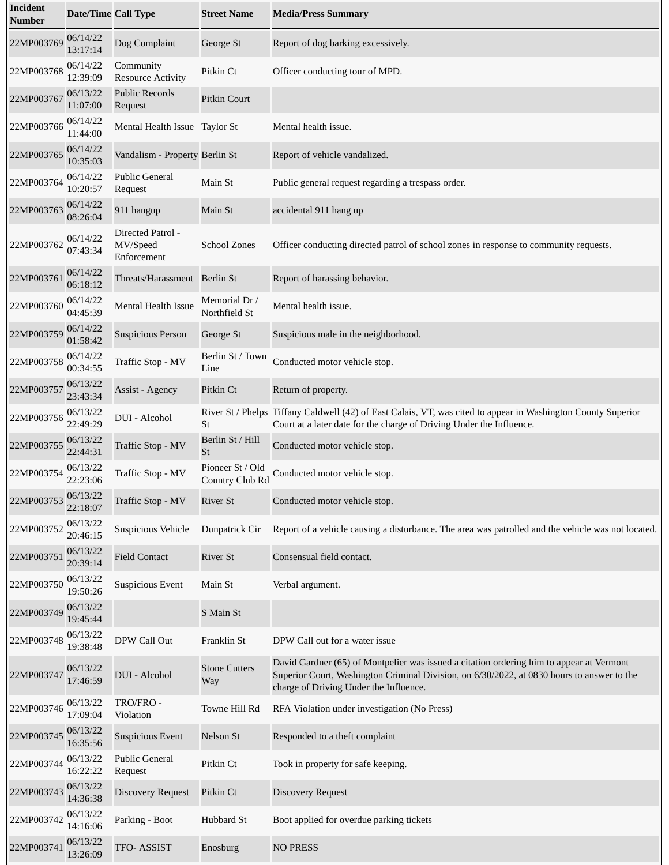| Incident<br>Number | <b>Date/Time Call Type</b> |                                              | <b>Street Name</b>                  | <b>Media/Press Summary</b>                                                                                                                                                                                                       |
|--------------------|----------------------------|----------------------------------------------|-------------------------------------|----------------------------------------------------------------------------------------------------------------------------------------------------------------------------------------------------------------------------------|
| 22MP003769         | 06/14/22<br>13:17:14       | Dog Complaint                                | George St                           | Report of dog barking excessively.                                                                                                                                                                                               |
| 22MP003768         | 06/14/22<br>12:39:09       | Community<br><b>Resource Activity</b>        | Pitkin Ct                           | Officer conducting tour of MPD.                                                                                                                                                                                                  |
| 22MP003767         | 06/13/22<br>11:07:00       | <b>Public Records</b><br>Request             | Pitkin Court                        |                                                                                                                                                                                                                                  |
| 22MP003766         | 06/14/22<br>11:44:00       | Mental Health Issue Taylor St                |                                     | Mental health issue.                                                                                                                                                                                                             |
| 22MP003765         | 06/14/22<br>10:35:03       | Vandalism - Property Berlin St               |                                     | Report of vehicle vandalized.                                                                                                                                                                                                    |
| 22MP003764         | 06/14/22<br>10:20:57       | <b>Public General</b><br>Request             | Main St                             | Public general request regarding a trespass order.                                                                                                                                                                               |
| 22MP003763         | 06/14/22<br>08:26:04       | 911 hangup                                   | Main St                             | accidental 911 hang up                                                                                                                                                                                                           |
| 22MP003762         | 06/14/22<br>07:43:34       | Directed Patrol -<br>MV/Speed<br>Enforcement | School Zones                        | Officer conducting directed patrol of school zones in response to community requests.                                                                                                                                            |
| 22MP003761         | 06/14/22<br>06:18:12       | Threats/Harassment Berlin St                 |                                     | Report of harassing behavior.                                                                                                                                                                                                    |
| 22MP003760         | 06/14/22<br>04:45:39       | <b>Mental Health Issue</b>                   | Memorial Dr /<br>Northfield St      | Mental health issue.                                                                                                                                                                                                             |
| 22MP003759         | 06/14/22<br>01:58:42       | <b>Suspicious Person</b>                     | George St                           | Suspicious male in the neighborhood.                                                                                                                                                                                             |
| 22MP003758         | 06/14/22<br>00:34:55       | Traffic Stop - MV                            | Berlin St / Town<br>Line            | Conducted motor vehicle stop.                                                                                                                                                                                                    |
| 22MP003757         | 06/13/22<br>23:43:34       | Assist - Agency                              | Pitkin Ct                           | Return of property.                                                                                                                                                                                                              |
| 22MP003756         | 06/13/22<br>22:49:29       | DUI - Alcohol                                | St                                  | River St / Phelps Tiffany Caldwell (42) of East Calais, VT, was cited to appear in Washington County Superior<br>Court at a later date for the charge of Driving Under the Influence.                                            |
| 22MP003755         | 06/13/22<br>22:44:31       | Traffic Stop - MV                            | Berlin St / Hill<br>St              | Conducted motor vehicle stop.                                                                                                                                                                                                    |
| 22MP003754         | 06/13/22<br>22:23:06       | Traffic Stop - MV                            | Pioneer St / Old<br>Country Club Rd | Conducted motor vehicle stop.                                                                                                                                                                                                    |
| 22MP003753         | 06/13/22<br>22:18:07       | Traffic Stop - MV                            | <b>River St</b>                     | Conducted motor vehicle stop.                                                                                                                                                                                                    |
| 22MP003752         | 06/13/22<br>20:46:15       | Suspicious Vehicle                           | Dunpatrick Cir                      | Report of a vehicle causing a disturbance. The area was patrolled and the vehicle was not located.                                                                                                                               |
| 22MP003751         | 06/13/22<br>20:39:14       | <b>Field Contact</b>                         | <b>River St</b>                     | Consensual field contact.                                                                                                                                                                                                        |
| 22MP003750         | 06/13/22<br>19:50:26       | <b>Suspicious Event</b>                      | Main St                             | Verbal argument.                                                                                                                                                                                                                 |
| 22MP003749         | 06/13/22<br>19:45:44       |                                              | S Main St                           |                                                                                                                                                                                                                                  |
| 22MP003748         | 06/13/22<br>19:38:48       | DPW Call Out                                 | Franklin St                         | DPW Call out for a water issue                                                                                                                                                                                                   |
| 22MP003747         | 06/13/22<br>17:46:59       | DUI - Alcohol                                | <b>Stone Cutters</b><br>Way         | David Gardner (65) of Montpelier was issued a citation ordering him to appear at Vermont<br>Superior Court, Washington Criminal Division, on 6/30/2022, at 0830 hours to answer to the<br>charge of Driving Under the Influence. |
| 22MP003746         | 06/13/22<br>17:09:04       | TRO/FRO-<br>Violation                        | Towne Hill Rd                       | RFA Violation under investigation (No Press)                                                                                                                                                                                     |
| 22MP003745         | 06/13/22<br>16:35:56       | <b>Suspicious Event</b>                      | Nelson St                           | Responded to a theft complaint                                                                                                                                                                                                   |
| 22MP003744         | 06/13/22<br>16:22:22       | Public General<br>Request                    | Pitkin Ct                           | Took in property for safe keeping.                                                                                                                                                                                               |
| 22MP003743         | 06/13/22<br>14:36:38       | <b>Discovery Request</b>                     | Pitkin Ct                           | <b>Discovery Request</b>                                                                                                                                                                                                         |
| 22MP003742         | 06/13/22<br>14:16:06       | Parking - Boot                               | Hubbard St                          | Boot applied for overdue parking tickets                                                                                                                                                                                         |
| 22MP003741         | 06/13/22<br>13:26:09       | TFO-ASSIST                                   | Enosburg                            | <b>NO PRESS</b>                                                                                                                                                                                                                  |